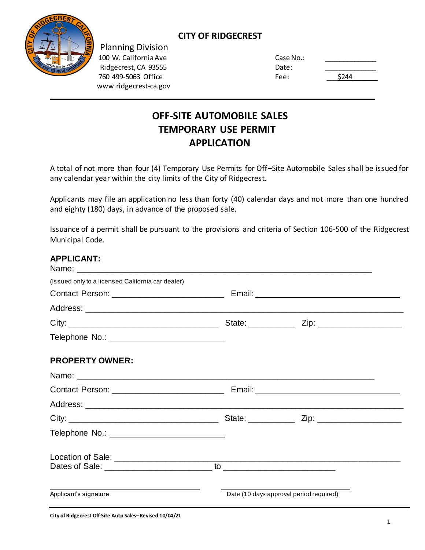

Planning Division 100 W. California Ave Case No.: 2008. Case No.: 2008. Case No.: 2014. Case No.: 2014. Case No.: 2014. Case No. Ridgecrest, CA 93555 Date: Date: Date: Date: Date: Date: Date: Date: Date: Date: Date: Date: Date: D 760 499-5063 Office Fee: 2444 Extended: The Research of Fe www.ridgecrest-ca.gov

## **CITY OF RIDGECREST**

| ate:         |  |
|--------------|--|
| \$244<br>ee: |  |

# **OFF-SITE AUTOMOBILE SALES TEMPORARY USE PERMIT APPLICATION**

A total of not more than four (4) Temporary Use Permits for Off–Site Automobile Sales shall be issued for any calendar year within the city limits of the City of Ridgecrest.

Applicants may file an application no less than forty (40) calendar days and not more than one hundred and eighty (180) days, in advance of the proposed sale.

Issuance of a permit shall be pursuant to the provisions and criteria of Section 106-500 of the Ridgecrest Municipal Code.

## **APPLICANT:**

| (Issued only to a licensed California car dealer) |                                         |  |
|---------------------------------------------------|-----------------------------------------|--|
|                                                   |                                         |  |
|                                                   |                                         |  |
|                                                   |                                         |  |
|                                                   |                                         |  |
| <b>PROPERTY OWNER:</b>                            |                                         |  |
| Name: Name:                                       |                                         |  |
|                                                   |                                         |  |
|                                                   |                                         |  |
|                                                   |                                         |  |
|                                                   |                                         |  |
|                                                   |                                         |  |
|                                                   |                                         |  |
| Applicant's signature                             | Date (10 days approval period required) |  |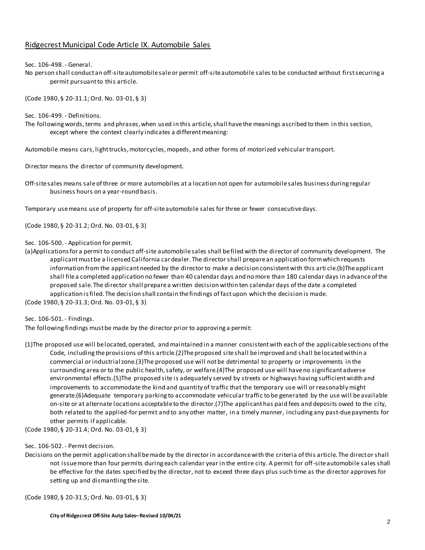### Ridgecrest Municipal Code Article IX. Automobile Sales

Sec. 106-498. - General.

No person shall conduct an off-site automobile sale or permit off-site automobile sales to be conducted without first securing a permit pursuant to this article.

(Code 1980, § 20-31.1; Ord. No. 03-01, § 3)

Sec. 106-499. - Definitions.

The following words, terms and phrases, when used in this article, shall have the meanings ascribed to them in this section, except where the context clearly indicates a different meaning:

Automobile means cars, light trucks, motorcycles, mopeds, and other forms of motorized vehicular transport.

Director means the director of community development.

Off-site sales means sale of three or more automobiles at a location not open for automobile sales business during regular business hours on a year-round basis.

Temporary use means use of property for off-site automobile sales for three or fewer consecutive days.

(Code 1980, § 20-31.2; Ord. No. 03-01, § 3)

Sec. 106-500. - Application for permit.

(a)Applications for a permit to conduct off-site automobile sales shall be filed with the director of community development. The applicant must be a licensed California car dealer. The director shall prepare an application form which requests information from the applicant needed by the director to make a decision consistent with this arti cle.(b)The applicant shall file a completed application no fewer than 40 calendar days and no more than 180 calendar days in advance of the proposed sale. The director shall prepare a written decision within ten calendar days of the date a completed application is filed. The decision shall contain the findings of fact upon which the decision is made. (Code 1980, § 20-31.3; Ord. No. 03-01, § 3)

Sec. 106-501. - Findings.

The following findings must be made by the director prior to approving a permit:

(1)The proposed use will be located, operated, and maintained in a manner consistent with each of the applicable sections of the Code, including the provisions of this article.(2)The proposed site shall be improved and shall be located within a commercial or industrial zone.(3)The proposed use will not be detrimental to property or improvements in the surrounding area or to the public health, safety, or welfare.(4)The proposed use will have no significant adverse environmental effects.(5)The proposed site is adequately served by streets or highways having sufficient width and improvements to accommodate the kind and quantity of traffic that the temporary use will or reasonably might generate.(6)Adequate temporary parking to accommodate vehicular traffic to be generated by the use will be available on-site or at alternate locations acceptable to the director.(7)The applicant has paid fees and deposits owed to the city, both related to the applied-for permit and to any other matter, in a timely manner, including any past-due payments for other permits if applicable.

(Code 1980, § 20-31.4; Ord. No. 03-01, § 3)

#### Sec. 106-502. - Permit decision.

Decisions on the permit application shall be made by the director in accordance with the criteria of this article. The directorshall not issue more than four permits during each calendar year in the entire city. A permit for off-site automobile sales shall be effective for the dates specified by the director, not to exceed three days plus such time as the director approves for setting up and dismantling the site.

(Code 1980, § 20-31.5; Ord. No. 03-01, § 3)